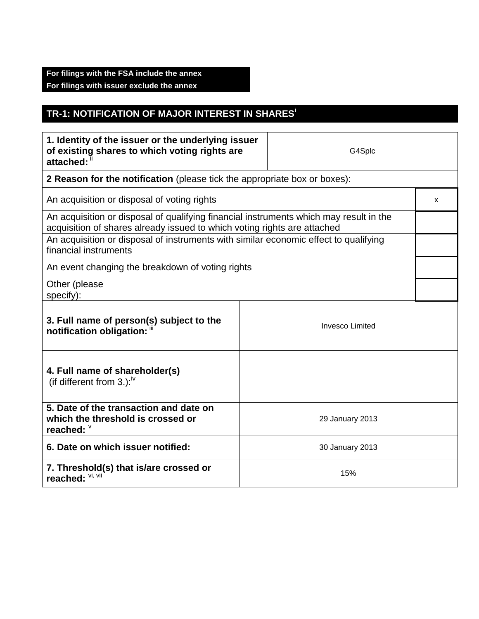## **For filings with the FSA include the annex For filings with issuer exclude the annex**

## **TR-1: NOTIFICATION OF MAJOR INTEREST IN SHARES<sup>i</sup>**

| 1. Identity of the issuer or the underlying issuer<br>of existing shares to which voting rights are<br>attached: ii                                                |  | G4Splc                 |  |  |
|--------------------------------------------------------------------------------------------------------------------------------------------------------------------|--|------------------------|--|--|
| 2 Reason for the notification (please tick the appropriate box or boxes):                                                                                          |  |                        |  |  |
| An acquisition or disposal of voting rights                                                                                                                        |  |                        |  |  |
| An acquisition or disposal of qualifying financial instruments which may result in the<br>acquisition of shares already issued to which voting rights are attached |  |                        |  |  |
| An acquisition or disposal of instruments with similar economic effect to qualifying<br>financial instruments                                                      |  |                        |  |  |
| An event changing the breakdown of voting rights                                                                                                                   |  |                        |  |  |
| Other (please<br>specify):                                                                                                                                         |  |                        |  |  |
| 3. Full name of person(s) subject to the<br>notification obligation: "                                                                                             |  | <b>Invesco Limited</b> |  |  |
| 4. Full name of shareholder(s)<br>(if different from 3.): $W$                                                                                                      |  |                        |  |  |
| 5. Date of the transaction and date on<br>which the threshold is crossed or<br>reached: V                                                                          |  | 29 January 2013        |  |  |
| 6. Date on which issuer notified:                                                                                                                                  |  | 30 January 2013        |  |  |
| 7. Threshold(s) that is/are crossed or<br>reached: VI, VII                                                                                                         |  | 15%                    |  |  |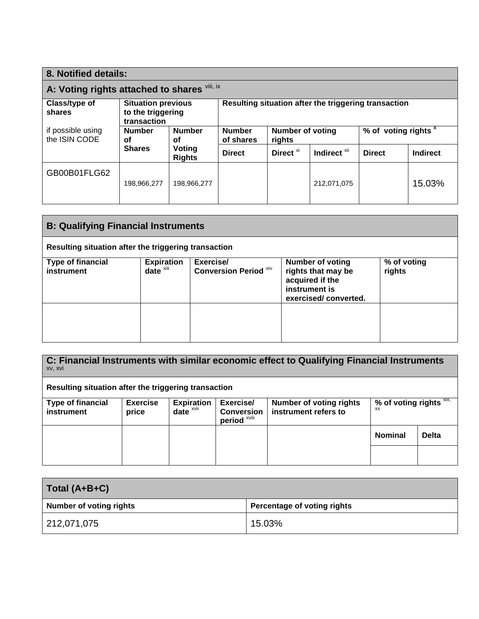| 8. Notified details:                         |                                                               |                            |                                                      |               |                 |                                 |        |
|----------------------------------------------|---------------------------------------------------------------|----------------------------|------------------------------------------------------|---------------|-----------------|---------------------------------|--------|
| A: Voting rights attached to shares Vili, ix |                                                               |                            |                                                      |               |                 |                                 |        |
| Class/type of<br>shares                      | <b>Situation previous</b><br>to the triggering<br>transaction |                            | Resulting situation after the triggering transaction |               |                 |                                 |        |
| if possible using<br>the ISIN CODE           | <b>Number</b><br><b>Number</b><br>οf<br>οf                    | <b>Number</b><br>of shares | <b>Number of voting</b><br>rights                    |               |                 | % of voting rights <sup>x</sup> |        |
| Voting<br><b>Shares</b><br><b>Rights</b>     | <b>Direct</b>                                                 | Direct <sup>xi</sup>       | Indirect <sup>xii</sup>                              | <b>Direct</b> | <b>Indirect</b> |                                 |        |
| GB00B01FLG62                                 | 198,966,277                                                   | 198,966,277                |                                                      |               | 212,071,075     |                                 | 15.03% |

| <b>B: Qualifying Financial Instruments</b>           |                                               |                                           |                                                                                                           |                       |  |
|------------------------------------------------------|-----------------------------------------------|-------------------------------------------|-----------------------------------------------------------------------------------------------------------|-----------------------|--|
| Resulting situation after the triggering transaction |                                               |                                           |                                                                                                           |                       |  |
| <b>Type of financial</b><br>instrument               | <b>Expiration</b><br>$date^{\overline{x}iii}$ | Exercise/<br><b>Conversion Period Xiv</b> | <b>Number of voting</b><br>rights that may be<br>acquired if the<br>instrument is<br>exercised/converted. | % of voting<br>rights |  |
|                                                      |                                               |                                           |                                                                                                           |                       |  |

| C: Financial Instruments with similar economic effect to Qualifying Financial Instruments<br>XV, XVI |                          |                               |                                                           |                                                        |                                                     |              |  |
|------------------------------------------------------------------------------------------------------|--------------------------|-------------------------------|-----------------------------------------------------------|--------------------------------------------------------|-----------------------------------------------------|--------------|--|
| Resulting situation after the triggering transaction                                                 |                          |                               |                                                           |                                                        |                                                     |              |  |
| <b>Type of financial</b><br>instrument                                                               | <b>Exercise</b><br>price | <b>Expiration</b><br>$date^x$ | Exercise/<br><b>Conversion</b><br>period <sup>xviii</sup> | <b>Number of voting rights</b><br>instrument refers to | % of voting rights $X$ <sup>xix,</sup><br><b>XX</b> |              |  |
|                                                                                                      |                          |                               |                                                           |                                                        | <b>Nominal</b>                                      | <b>Delta</b> |  |
|                                                                                                      |                          |                               |                                                           |                                                        |                                                     |              |  |

| Total (A+B+C)                  |                             |
|--------------------------------|-----------------------------|
| <b>Number of voting rights</b> | Percentage of voting rights |
| 212,071,075                    | 15.03%                      |